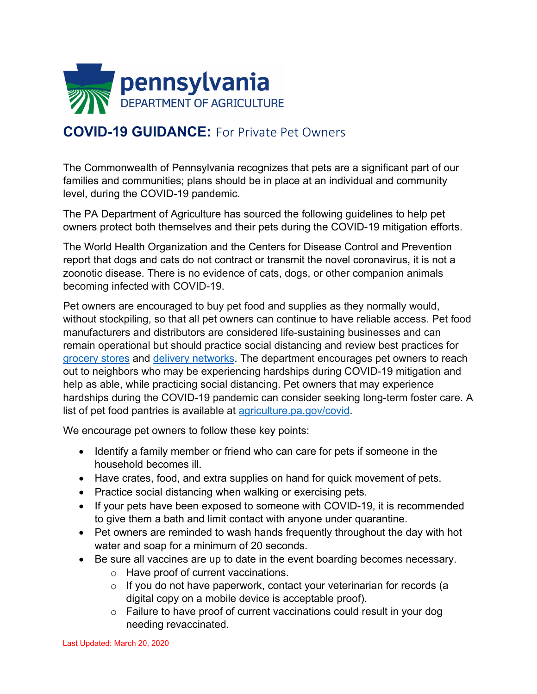

## **COVID-19 GUIDANCE:** For Private Pet Owners

The Commonwealth of Pennsylvania recognizes that pets are a significant part of our families and communities; plans should be in place at an individual and community level, during the COVID-19 pandemic.

The PA Department of Agriculture has sourced the following guidelines to help pet owners protect both themselves and their pets during the COVID-19 mitigation efforts.

The World Health Organization and the Centers for Disease Control and Prevention report that dogs and cats do not contract or transmit the novel coronavirus, it is not a zoonotic disease. There is no evidence of cats, dogs, or other companion animals becoming infected with COVID-19.

Pet owners are encouraged to buy pet food and supplies as they normally would, without stockpiling, so that all pet owners can continue to have reliable access. Pet food manufacturers and distributors are considered life-sustaining businesses and can remain operational but should practice social distancing and review best practices for [grocery stores](https://www.agriculture.pa.gov/foodforthought/Pages/Article.aspx?post=72) and [delivery networks.](https://www.agriculture.pa.gov/Documents/Farms%20and%20On-Farm%20Deliveries.pdf) The department encourages pet owners to reach out to neighbors who may be experiencing hardships during COVID-19 mitigation and help as able, while practicing social distancing. Pet owners that may experience hardships during the COVID-19 pandemic can consider seeking long-term foster care. A list of pet food pantries is available at [agriculture.pa.gov/covid.](https://www.agriculture.pa.gov/Pages/COVID-19.aspx)

We encourage pet owners to follow these key points:

- Identify a family member or friend who can care for pets if someone in the household becomes ill.
- Have crates, food, and extra supplies on hand for quick movement of pets.
- Practice social distancing when walking or exercising pets.
- If your pets have been exposed to someone with COVID-19, it is recommended to give them a bath and limit contact with anyone under quarantine.
- Pet owners are reminded to wash hands frequently throughout the day with hot water and soap for a minimum of 20 seconds.
- Be sure all vaccines are up to date in the event boarding becomes necessary.
	- o Have proof of current vaccinations.
	- $\circ$  If you do not have paperwork, contact your veterinarian for records (a digital copy on a mobile device is acceptable proof).
	- $\circ$  Failure to have proof of current vaccinations could result in your dog needing revaccinated.